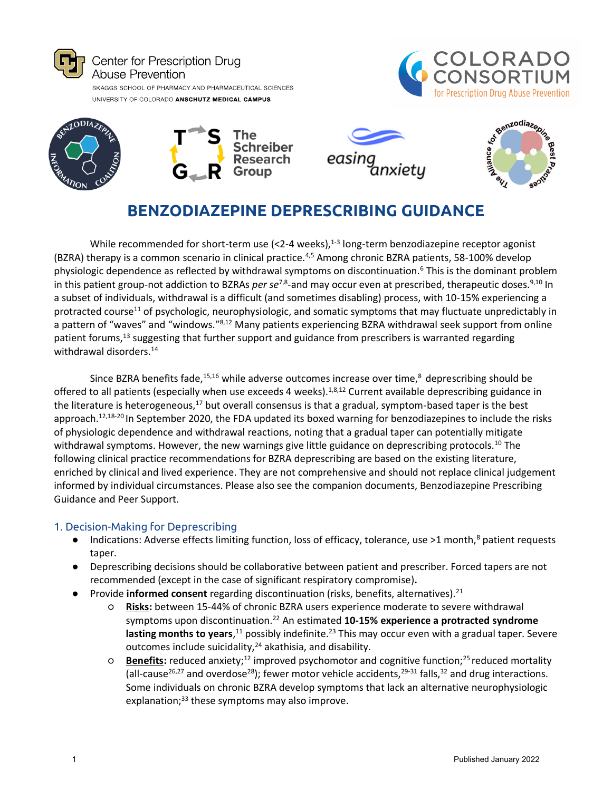









# **BENZODIAZEPINE DEPRESCRIBING GUIDANCE**

While recommended for short-term use (<2-4 weeks), $^{1-3}$  long-term benzodiazepine receptor agonist (BZRA) therapy is a common scenario in clinical practice.4,5 Among chronic BZRA patients, 58-100% develop physiologic dependence as reflected by withdrawal symptoms on discontinuation.<sup>6</sup> This is the dominant problem in this patient group-not addiction to BZRAs *per se<sup>7,8</sup>*-and may occur even at prescribed, therapeutic doses.<sup>9,10</sup> In a subset of individuals, withdrawal is a difficult (and sometimes disabling) process, with 10-15% experiencing a protracted course<sup>11</sup> of psychologic, neurophysiologic, and somatic symptoms that may fluctuate unpredictably in a pattern of "waves" and "windows."8,12 Many patients experiencing BZRA withdrawal seek support from online patient forums,<sup>13</sup> suggesting that further support and guidance from prescribers is warranted regarding withdrawal disorders.<sup>14</sup>

Since BZRA benefits fade,  $15,16$  while adverse outcomes increase over time,  $8$  deprescribing should be offered to all patients (especially when use exceeds 4 weeks).<sup>1,8,12</sup> Current available deprescribing guidance in the literature is heterogeneous,<sup>17</sup> but overall consensus is that a gradual, symptom-based taper is the best approach.<sup>12,18-20</sup> In September 2020, the FDA updated its boxed warning for benzodiazepines to include the risks of physiologic dependence and withdrawal reactions, noting that a gradual taper can potentially mitigate withdrawal symptoms. However, the new warnings give little guidance on deprescribing protocols.<sup>10</sup> The following clinical practice recommendations for BZRA deprescribing are based on the existing literature, enriched by clinical and lived experience. They are not comprehensive and should not replace clinical judgement informed by individual circumstances. Please also see the companion documents, Benzodiazepine Prescribing Guidance and Peer Support.

#### 1. Decision-Making for Deprescribing

- Indications: Adverse effects limiting function, loss of efficacy, tolerance, use >1 month,<sup>8</sup> patient requests taper.
- Deprescribing decisions should be collaborative between patient and prescriber. Forced tapers are not recommended (except in the case of significant respiratory compromise)**.**
- Provide **informed consent** regarding discontinuation (risks, benefits, alternatives).<sup>21</sup>
	- **Risks:** between 15-44% of chronic BZRA users experience moderate to severe withdrawal symptoms upon discontinuation.<sup>22</sup> An estimated 10-15% experience a protracted syndrome **lasting months to years**,<sup>11</sup> possibly indefinite.<sup>23</sup> This may occur even with a gradual taper. Severe outcomes include suicidality, $24$  akathisia, and disability.
	- **Benefits:** reduced anxiety;<sup>12</sup> improved psychomotor and cognitive function;<sup>25</sup>reduced mortality (all-cause<sup>26,27</sup> and overdose<sup>28</sup>); fewer motor vehicle accidents, <sup>29-31</sup> falls, <sup>32</sup> and drug interactions. Some individuals on chronic BZRA develop symptoms that lack an alternative neurophysiologic explanation; $33$  these symptoms may also improve.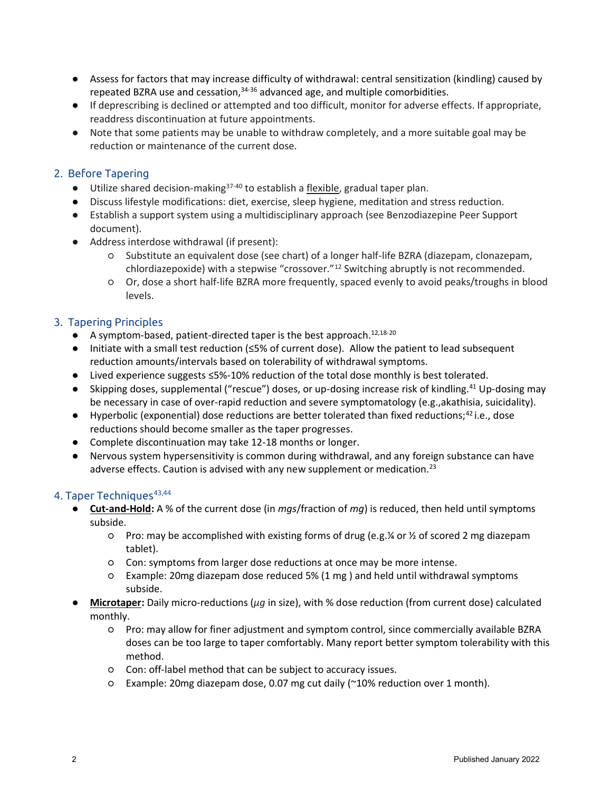- Assess for factors that may increase difficulty of withdrawal: central sensitization (kindling) caused by repeated BZRA use and cessation,<sup>34-36</sup> advanced age, and multiple comorbidities.
- If deprescribing is declined or attempted and too difficult, monitor for adverse effects. If appropriate, readdress discontinuation at future appointments.
- Note that some patients may be unable to withdraw completely, and a more suitable goal may be reduction or maintenance of the current dose.

# 2. Before Tapering

- $\bullet$  Utilize shared decision-making<sup>37-40</sup> to establish a flexible, gradual taper plan.
- Discuss lifestyle modifications: diet, exercise, sleep hygiene, meditation and stress reduction.
- Establish a support system using a multidisciplinary approach (see Benzodiazepine Peer Support document).
- Address interdose withdrawal (if present):
	- Substitute an equivalent dose (see chart) of a longer half-life BZRA (diazepam, clonazepam, chlordiazepoxide) with a stepwise "crossover."<sup>12</sup> Switching abruptly is not recommended.
	- Or, dose a short half-life BZRA more frequently, spaced evenly to avoid peaks/troughs in blood levels.

## 3. Tapering Principles

- A symptom-based, patient-directed taper is the best approach.<sup>12,18-20</sup>
- Initiate with a small test reduction (≤5% of current dose). Allow the patient to lead subsequent reduction amounts/intervals based on tolerability of withdrawal symptoms.
- Lived experience suggests ≤5%-10% reduction of the total dose monthly is best tolerated.
- Skipping doses, supplemental ("rescue") doses, or up-dosing increase risk of kindling.<sup>41</sup> Up-dosing may be necessary in case of over-rapid reduction and severe symptomatology (e.g.,akathisia, suicidality).
- $\bullet$  Hyperbolic (exponential) dose reductions are better tolerated than fixed reductions;<sup>42</sup> i.e., dose reductions should become smaller as the taper progresses.
- Complete discontinuation may take 12-18 months or longer.
- Nervous system hypersensitivity is common during withdrawal, and any foreign substance can have adverse effects. Caution is advised with any new supplement or medication.<sup>23</sup>

#### 4. Taper Techniques<sup>43,44</sup>

- **Cut-and-Hold:** A % of the current dose (in *mgs*/fraction of *mg*) is reduced, then held until symptoms subside.
	- Pro: may be accomplished with existing forms of drug (e.g.¼ or ½ of scored 2 mg diazepam tablet).
	- Con: symptoms from larger dose reductions at once may be more intense.
	- Example: 20mg diazepam dose reduced 5% (1 mg ) and held until withdrawal symptoms subside.
- **Microtaper:** Daily micro-reductions (*μg* in size), with % dose reduction (from current dose) calculated monthly.
	- Pro: may allow for finer adjustment and symptom control, since commercially available BZRA doses can be too large to taper comfortably. Many report better symptom tolerability with this method.
	- Con: off-label method that can be subject to accuracy issues.
	- Example: 20mg diazepam dose, 0.07 mg cut daily (~10% reduction over 1 month).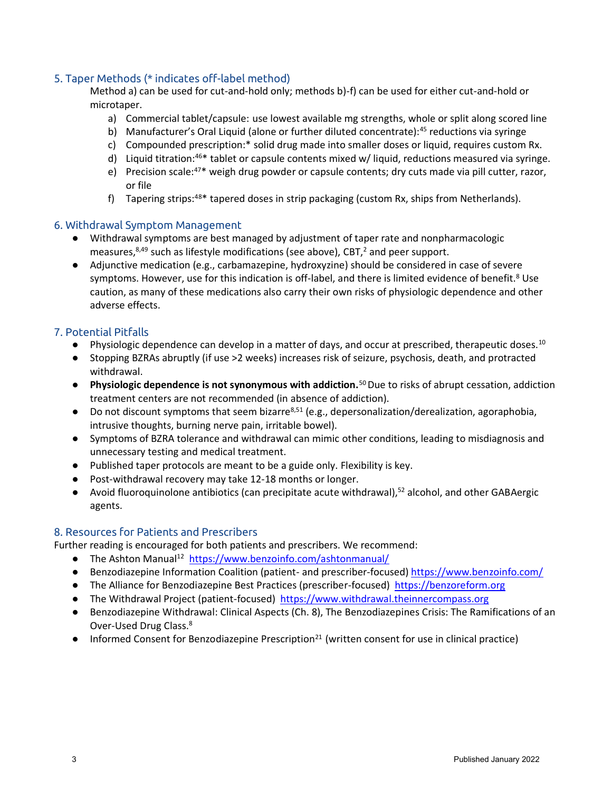# 5. Taper Methods (\* indicates off-label method)

Method a) can be used for cut-and-hold only; methods b)-f) can be used for either cut-and-hold or microtaper.

- a) Commercial tablet/capsule: use lowest available mg strengths, whole or split along scored line
- b) Manufacturer's Oral Liquid (alone or further diluted concentrate):<sup>45</sup> reductions via syringe
- c) Compounded prescription:\* solid drug made into smaller doses or liquid, requires custom Rx.
- d) Liquid titration:<sup>46\*</sup> tablet or capsule contents mixed w/ liquid, reductions measured via syringe.
- e) Precision scale: $47*$  weigh drug powder or capsule contents; dry cuts made via pill cutter, razor, or file
- f) Tapering strips: $48*$  tapered doses in strip packaging (custom Rx, ships from Netherlands).

#### 6. Withdrawal Symptom Management

- Withdrawal symptoms are best managed by adjustment of taper rate and nonpharmacologic measures, $8,49$  such as lifestyle modifications (see above), CBT,<sup>2</sup> and peer support.
- Adjunctive medication (e.g., carbamazepine, hydroxyzine) should be considered in case of severe symptoms. However, use for this indication is off-label, and there is limited evidence of benefit.<sup>8</sup> Use caution, as many of these medications also carry their own risks of physiologic dependence and other adverse effects.

## 7. Potential Pitfalls

- $\bullet$  Physiologic dependence can develop in a matter of days, and occur at prescribed, therapeutic doses.<sup>10</sup>
- Stopping BZRAs abruptly (if use >2 weeks) increases risk of seizure, psychosis, death, and protracted withdrawal.
- **Physiologic dependence is not synonymous with addiction.**<sup>50</sup>Due to risks of abrupt cessation, addiction treatment centers are not recommended (in absence of addiction).
- $\bullet$  Do not discount symptoms that seem bizarre<sup>8,51</sup> (e.g., depersonalization/derealization, agoraphobia, intrusive thoughts, burning nerve pain, irritable bowel).
- Symptoms of BZRA tolerance and withdrawal can mimic other conditions, leading to misdiagnosis and unnecessary testing and medical treatment.
- Published taper protocols are meant to be a guide only. Flexibility is key.
- Post-withdrawal recovery may take 12-18 months or longer.
- Avoid fluoroquinolone antibiotics (can precipitate acute withdrawal),<sup>52</sup> alcohol, and other GABAergic agents.

## 8. Resources for Patients and Prescribers

Further reading is encouraged for both patients and prescribers. We recommend:

- The Ashton Manual<sup>12</sup> [https://www.benzoinfo.com/ashtonmanual/](http://www.benzoinfo.com/ashtonmanual/)
- Benzodiazepine Information Coalition (patient- and prescriber-focused) [https://www.benzoinfo.com/](https://www.benzoinfo.com/?gclid=Cj0KCQjwgtWDBhDZARIsADEKwgPMUoONY4K0jmVTRGNXlUeWU4xKr8nrp6TozxCQadLrcHSYU-yCW7oaAj6UEALw_wcB)
- The Alliance for Benzodiazepine Best Practices (prescriber-focused) [https://benzoreform.org](https://benzoreform.org/)
- The Withdrawal Project (patient-focused) [https://www.withdrawal.theinnercompass.org](https://www.theinnercompass.org/)
- Benzodiazepine Withdrawal: Clinical Aspects (Ch. 8), The Benzodiazepines Crisis: The Ramifications of an Over-Used Drug Class.<sup>8</sup>
- $\bullet$  Informed Consent for Benzodiazepine Prescription<sup>21</sup> (written consent for use in clinical practice)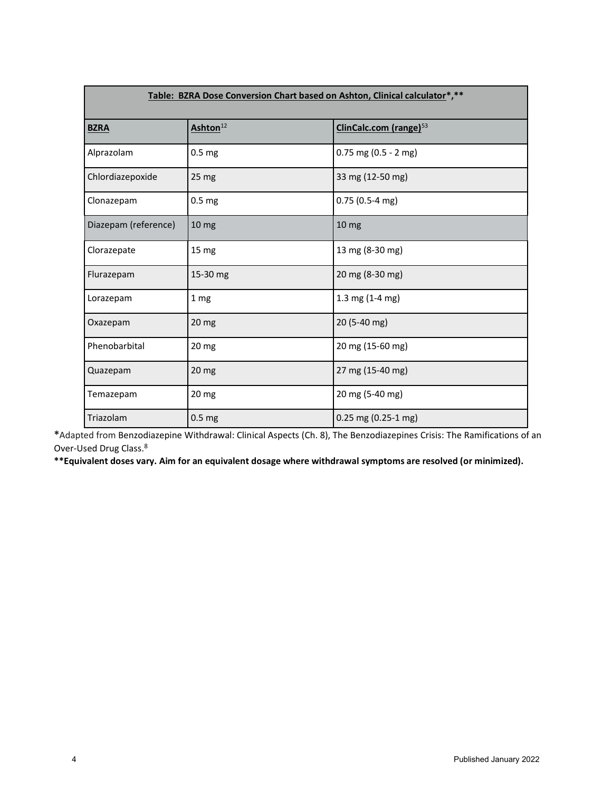| Table: BZRA Dose Conversion Chart based on Ashton, Clinical calculator*,** |                      |                                    |
|----------------------------------------------------------------------------|----------------------|------------------------------------|
| <b>BZRA</b>                                                                | Ashton <sup>12</sup> | ClinCalc.com (range) <sup>53</sup> |
| Alprazolam                                                                 | 0.5 <sub>mg</sub>    | $0.75$ mg (0.5 - 2 mg)             |
| Chlordiazepoxide                                                           | 25 <sub>mg</sub>     | 33 mg (12-50 mg)                   |
| Clonazepam                                                                 | 0.5 <sub>mg</sub>    | $0.75(0.5-4)$ mg)                  |
| Diazepam (reference)                                                       | 10 <sub>mg</sub>     | 10 <sub>mg</sub>                   |
| Clorazepate                                                                | 15 <sub>mg</sub>     | 13 mg (8-30 mg)                    |
| Flurazepam                                                                 | 15-30 mg             | 20 mg (8-30 mg)                    |
| Lorazepam                                                                  | 1 mg                 | 1.3 mg (1-4 mg)                    |
| Oxazepam                                                                   | $20 \, \text{mg}$    | 20 (5-40 mg)                       |
| Phenobarbital                                                              | 20 mg                | 20 mg (15-60 mg)                   |
| Quazepam                                                                   | 20 mg                | 27 mg (15-40 mg)                   |
| Temazepam                                                                  | 20 mg                | 20 mg (5-40 mg)                    |
| Triazolam                                                                  | 0.5 <sub>mg</sub>    | $0.25$ mg (0.25-1 mg)              |

**\***Adapted from Benzodiazepine Withdrawal: Clinical Aspects (Ch. 8), The Benzodiazepines Crisis: The Ramifications of an Over-Used Drug Class.<sup>8</sup>

**\*\*Equivalent doses vary. Aim for an equivalent dosage where withdrawal symptoms are resolved (or minimized).**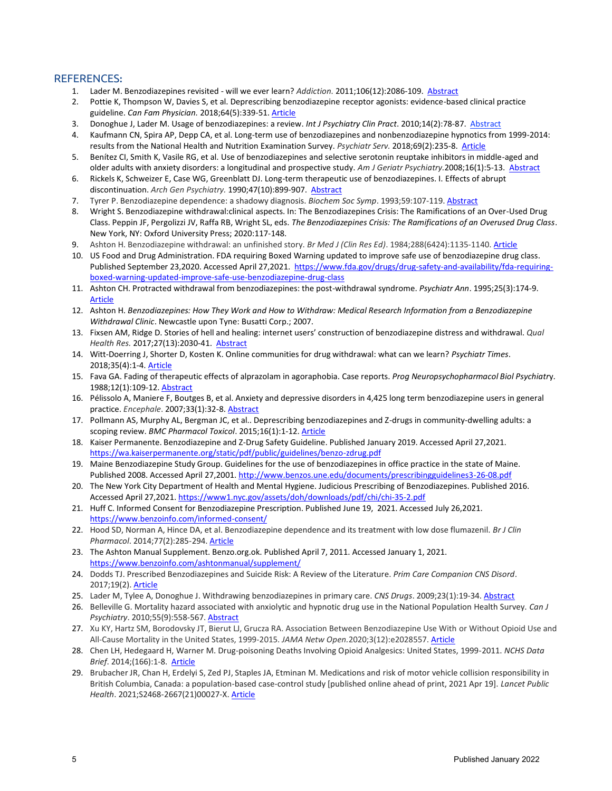#### REFERENCES**:**

- 1. Lader M. Benzodiazepines revisited will we ever learn? *Addiction.* 2011;106(12):2086-109. [Abstract](http://www.ncbi.nlm.nih.gov/pubmed/21714826)
- 2. Pottie K, Thompson W, Davies S, et al. Deprescribing benzodiazepine receptor agonists: evidence-based clinical practice guideline. *Can Fam Physician.* 2018;64(5):339-51. [Article](https://www.cfp.ca/content/64/5/339.long)
- 3. Donoghue J, Lader M. Usage of benzodiazepines: a review. *Int J Psychiatry Clin Pract*. 2010;14(2):78-87. [Abstract](http://www.ncbi.nlm.nih.gov/entrez/query.fcgi?cmd=Retrieve&db=PubMed&dopt=Abstract&list_uids=24922466)
- 4. Kaufmann CN, Spira AP, Depp CA, et al. Long-term use of benzodiazepines and nonbenzodiazepine hypnotics from 1999-2014: results from the National Health and Nutrition Examination Survey. *Psychiatr Serv.* 2018;69(2):235-8. [Article](https://www.ncbi.nlm.nih.gov/pmc/articles/PMC5794624/)
- 5. Benítez CI, Smith K, Vasile RG, et al. Use of benzodiazepines and selective serotonin reuptake inhibitors in middle-aged and older adults with anxiety disorders: a longitudinal and prospective study. *Am J Geriatr Psychiatry.*2008;16(1):5-13. [Abstract](https://www.ncbi.nlm.nih.gov/pubmed/18165458)
- 6. Rickels K, Schweizer E, Case WG, Greenblatt DJ. Long-term therapeutic use of benzodiazepines. I. Effects of abrupt discontinuation. *Arch Gen Psychiatry.* 1990;47(10):899-907. [Abstract](https://www.ncbi.nlm.nih.gov/pubmed/?term=Rickels+K%2C+Schweizer+E%2C+Case+WG%2C+et+al.+Long-term+therapeutic+use+of+benzodiazepines.+I.+Effects+of+abrupt+discontinuation.+Arch+Gen+Psychiatry.+1990)
- 7. Tyrer P. Benzodiazepine dependence: a shadowy diagnosis. *Biochem Soc Symp*. 1993;59:107-119[. Abstract](https://pubmed.ncbi.nlm.nih.gov/7910738/)
- 8. Wright S. Benzodiazepine withdrawal:clinical aspects. In: The Benzodiazepines Crisis: The Ramifications of an Over-Used Drug Class. Peppin JF, Pergolizzi JV, Raffa RB, Wright SL, eds. *The Benzodiazepines Crisis: The Ramifications of an Overused Drug Class*. New York, NY: Oxford University Press; 2020:117-148.
- 9. Ashton H. Benzodiazepine withdrawal: an unfinished story. *Br Med J (Clin Res Ed)*. 1984;288(6424):1135-1140. [Article](https://www.ncbi.nlm.nih.gov/pmc/articles/PMC1441411/pdf/bmjcred00496-0031.pdf)
- 10. US Food and Drug Administration. FDA requiring Boxed Warning updated to improve safe use of benzodiazepine drug class. Published September 23,2020. Accessed April 27,2021. [https://www.fda.gov/drugs/drug-safety-and-availability/fda-requiring](https://www.fda.gov/drugs/drug-safety-and-availability/fda-requiring-boxed-warning-updated-improve-safe-use-benzodiazepine-drug-class)[boxed-warning-updated-improve-safe-use-benzodiazepine-drug-class](https://www.fda.gov/drugs/drug-safety-and-availability/fda-requiring-boxed-warning-updated-improve-safe-use-benzodiazepine-drug-class)
- 11. Ashton CH. Protracted withdrawal from benzodiazepines: the post-withdrawal syndrome. *Psychiatr Ann*. 1995;25(3):174-9. [Article](https://benzo.org.uk/pha-1.htm)
- 12. Ashton H. *Benzodiazepines: How They Work and How to Withdraw: Medical Research Information from a Benzodiazepine Withdrawal Clinic*. Newcastle upon Tyne: Busatti Corp.; 2007.
- 13. Fixsen AM, Ridge D. Stories of hell and healing: internet users' construction of benzodiazepine distress and withdrawal. *Qual Health Res.* 2017;27(13):2030-41. [Abstract](https://journals.sagepub.com/doi/10.1177/1049732317728053)
- 14. Witt-Doerring J, Shorter D, Kosten K. Online communities for drug withdrawal: what can we learn? *Psychiatr Times*. 2018;35(4):1-4[. Article](https://www.psychiatrictimes.com/view/online-communities-drug-withdrawal-what-can-we-learn)
- 15. Fava GA. Fading of therapeutic effects of alprazolam in agoraphobia. Case reports. *Prog Neuropsychopharmacol Biol Psychiatr*y. 1988;12(1):109-12. [Abstract](https://pubmed.ncbi.nlm.nih.gov/3363164/)
- 16. Pélissolo A, Maniere F, Boutges B, et al. Anxiety and depressive disorders in 4,425 long term benzodiazepine users in general practice. *Encephale*. 2007;33(1):32-8[. Abstract](https://pubmed.ncbi.nlm.nih.gov/17457292/)
- 17. Pollmann AS, Murphy AL, Bergman JC, et al.. Deprescribing benzodiazepines and Z-drugs in community-dwelling adults: a scoping review. *BMC Pharmacol Toxicol*. 2015;16(1):1-12. [Article](https://bmcpharmacoltoxicol.biomedcentral.com/articles/10.1186/s40360-015-0019-8)
- 18. Kaiser Permanente. Benzodiazepine and Z-Drug Safety Guideline. Published January 2019. Accessed April 27,2021. <https://wa.kaiserpermanente.org/static/pdf/public/guidelines/benzo-zdrug.pdf>
- 19. Maine Benzodiazepine Study Group. Guidelines for the use of benzodiazepines in office practice in the state of Maine. Published 2008. Accessed April 27,2001.<http://www.benzos.une.edu/documents/prescribingguidelines3-26-08.pdf>
- 20. The New York City Department of Health and Mental Hygiene. Judicious Prescribing of Benzodiazepines. Published 2016. Accessed April 27,2021[. https://www1.nyc.gov/assets/doh/downloads/pdf/chi/chi-35-2.pdf](https://www1.nyc.gov/assets/doh/downloads/pdf/chi/chi-35-2.pdf)
- 21. Huff C. Informed Consent for Benzodiazepine Prescription. Published June 19, 2021. Accessed July 26,2021. <https://www.benzoinfo.com/informed-consent/>
- 22. Hood SD, Norman A, Hince DA, et al. Benzodiazepine dependence and its treatment with low dose flumazenil. *Br J Clin Pharmacol*. 2014;77(2):285-294. [Article](https://bpspubs.onlinelibrary.wiley.com/doi/10.1111/bcp.12023)
- 23. The Ashton Manual Supplement. Benzo.org.ok. Published April 7, 2011. Accessed January 1, 2021. <https://www.benzoinfo.com/ashtonmanual/supplement/>
- 24. Dodds TJ. Prescribed Benzodiazepines and Suicide Risk: A Review of the Literature. *Prim Care Companion CNS Disord*. 2017;19(2). [Article](https://www.psychiatrist.com/pcc/depression/suicide/prescribed-benzodiazepines-and-suicide-risk/)
- 25. Lader M, Tylee A, Donoghue J. Withdrawing benzodiazepines in primary care. *CNS Drugs*. 2009;23(1):19-34[. Abstract](https://pubmed.ncbi.nlm.nih.gov/19062773/)
- 26. Belleville G. Mortality hazard associated with anxiolytic and hypnotic drug use in the National Population Health Survey. *Can J Psychiatry*. 2010;55(9):558-567[. Abstract](https://pubmed.ncbi.nlm.nih.gov/20840803/)
- 27. Xu KY, Hartz SM, Borodovsky JT, Bierut LJ, Grucza RA. Association Between Benzodiazepine Use With or Without Opioid Use and All-Cause Mortality in the United States, 1999-2015. *JAMA Netw Open.*2020;3(12):e2028557[. Article](https://jamanetwork.com/journals/jamanetworkopen/fullarticle/2773826)
- 28. Chen LH, Hedegaard H, Warner M. Drug-poisoning Deaths Involving Opioid Analgesics: United States, 1999-2011. *NCHS Data Brief*. 2014;(166):1-8. [Article](https://www.cdc.gov/nchs/data/databriefs/db166.pdf)
- 29. Brubacher JR, Chan H, Erdelyi S, Zed PJ, Staples JA, Etminan M. Medications and risk of motor vehicle collision responsibility in British Columbia, Canada: a population-based case-control study [published online ahead of print, 2021 Apr 19]. *Lancet Public Health*. 2021;S2468-2667(21)00027-X[. Article](https://www.thelancet.com/action/showPdf?pii=S2468-2667%2821%2900027-X)